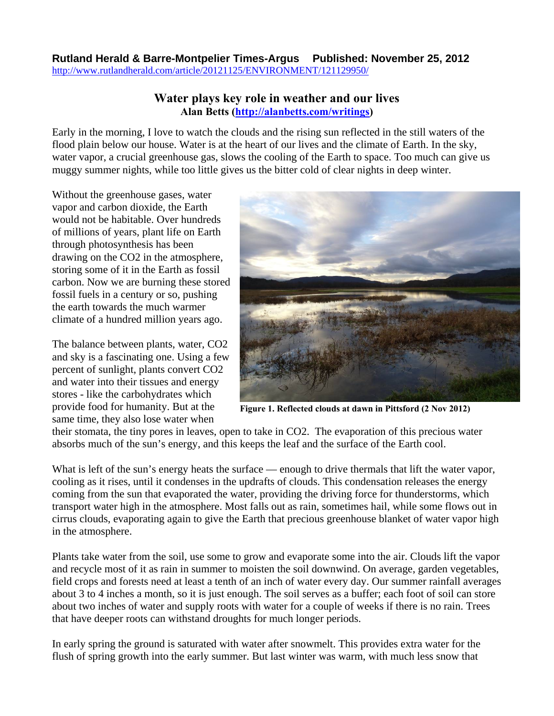## **Rutland Herald & Barre-Montpelier Times-Argus Published: November 25, 2012** <http://www.rutlandherald.com/article/20121125/ENVIRONMENT/121129950/>

## **Water plays key role in weather and our lives Alan Betts [\(http://alanbetts.com/writings\)](http://alanbetts.com/writings)**

Early in the morning, I love to watch the clouds and the rising sun reflected in the still waters of the flood plain below our house. Water is at the heart of our lives and the climate of Earth. In the sky, water vapor, a crucial greenhouse gas, slows the cooling of the Earth to space. Too much can give us muggy summer nights, while too little gives us the bitter cold of clear nights in deep winter.

Without the greenhouse gases, water vapor and carbon dioxide, the Earth would not be habitable. Over hundreds of millions of years, plant life on Earth through photosynthesis has been drawing on the CO2 in the atmosphere, storing some of it in the Earth as fossil carbon. Now we are burning these stored fossil fuels in a century or so, pushing the earth towards the much warmer climate of a hundred million years ago.

The balance between plants, water, CO2 and sky is a fascinating one. Using a few percent of sunlight, plants convert CO2 and water into their tissues and energy stores - like the carbohydrates which provide food for humanity. But at the same time, they also lose water when



**Figure 1. Reflected clouds at dawn in Pittsford (2 Nov 2012)** 

their stomata, the tiny pores in leaves, open to take in CO2. The evaporation of this precious water absorbs much of the sun's energy, and this keeps the leaf and the surface of the Earth cool.

What is left of the sun's energy heats the surface — enough to drive thermals that lift the water vapor, cooling as it rises, until it condenses in the updrafts of clouds. This condensation releases the energy coming from the sun that evaporated the water, providing the driving force for thunderstorms, which transport water high in the atmosphere. Most falls out as rain, sometimes hail, while some flows out in cirrus clouds, evaporating again to give the Earth that precious greenhouse blanket of water vapor high in the atmosphere.

Plants take water from the soil, use some to grow and evaporate some into the air. Clouds lift the vapor and recycle most of it as rain in summer to moisten the soil downwind. On average, garden vegetables, field crops and forests need at least a tenth of an inch of water every day. Our summer rainfall averages about 3 to 4 inches a month, so it is just enough. The soil serves as a buffer; each foot of soil can store about two inches of water and supply roots with water for a couple of weeks if there is no rain. Trees that have deeper roots can withstand droughts for much longer periods.

In early spring the ground is saturated with water after snowmelt. This provides extra water for the flush of spring growth into the early summer. But last winter was warm, with much less snow that